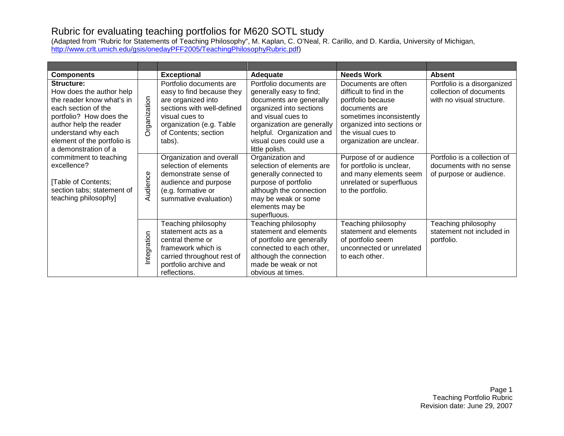## Rubric for evaluating teaching portfolios for M620 SOTL study

(Adapted from "Rubric for Statements of Teaching Philosophy", M. Kaplan, C. O'Neal, R. Carillo, and D. Kardia, University of Michigan, [http://www.crlt.umich.edu/gsis/onedayPFF2005/TeachingPhilosophyRubric.pdf\)](http://www.crlt.umich.edu/gsis/onedayPFF2005/TeachingPhilosophyRubric.pdf)

| <b>Components</b>                                                                                                                                                                                                                             |                                                                                                                                                                                          | <b>Exceptional</b>                                                                                                                                                                                                                     | Adequate                                                                                                                                                                                           | <b>Needs Work</b>                                                                                                              | <b>Absent</b>                                                                      |
|-----------------------------------------------------------------------------------------------------------------------------------------------------------------------------------------------------------------------------------------------|------------------------------------------------------------------------------------------------------------------------------------------------------------------------------------------|----------------------------------------------------------------------------------------------------------------------------------------------------------------------------------------------------------------------------------------|----------------------------------------------------------------------------------------------------------------------------------------------------------------------------------------------------|--------------------------------------------------------------------------------------------------------------------------------|------------------------------------------------------------------------------------|
| Structure:<br>How does the author help<br>Organization<br>the reader know what's in<br>each section of the<br>portfolio? How does the<br>author help the reader<br>understand why each<br>element of the portfolio is<br>a demonstration of a | Portfolio documents are<br>easy to find because they<br>are organized into<br>sections with well-defined<br>visual cues to<br>organization (e.g. Table<br>of Contents; section<br>tabs). | Portfolio documents are<br>generally easy to find;<br>documents are generally<br>organized into sections<br>and visual cues to<br>organization are generally<br>helpful. Organization and<br>visual cues could use a<br>little polish. | Documents are often<br>difficult to find in the<br>portfolio because<br>documents are<br>sometimes inconsistently<br>organized into sections or<br>the visual cues to<br>organization are unclear. | Portfolio is a disorganized<br>collection of documents<br>with no visual structure.                                            |                                                                                    |
| commitment to teaching<br>excellence?<br>Table of Contents;<br>section tabs; statement of<br>teaching philosophy]                                                                                                                             | Audience                                                                                                                                                                                 | Organization and overall<br>selection of elements<br>demonstrate sense of<br>audience and purpose<br>(e.g. formative or<br>summative evaluation)                                                                                       | Organization and<br>selection of elements are<br>generally connected to<br>purpose of portfolio<br>although the connection<br>may be weak or some<br>elements may be<br>superfluous.               | Purpose of or audience<br>for portfolio is unclear,<br>and many elements seem<br>unrelated or superfluous<br>to the portfolio. | Portfolio is a collection of<br>documents with no sense<br>of purpose or audience. |
|                                                                                                                                                                                                                                               | Integration                                                                                                                                                                              | Teaching philosophy<br>statement acts as a<br>central theme or<br>framework which is<br>carried throughout rest of<br>portfolio archive and<br>reflections.                                                                            | Teaching philosophy<br>statement and elements<br>of portfolio are generally<br>connected to each other,<br>although the connection<br>made be weak or not<br>obvious at times.                     | Teaching philosophy<br>statement and elements<br>of portfolio seem<br>unconnected or unrelated<br>to each other.               | Teaching philosophy<br>statement not included in<br>portfolio.                     |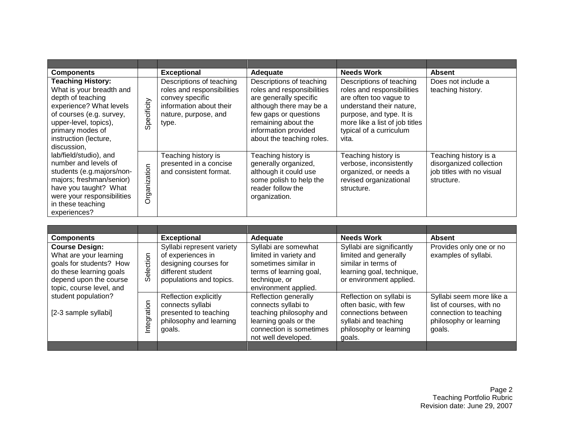| <b>Components</b>                                                                                                                                                                                                                                                                                                                                                                                                            |              | <b>Exceptional</b>                                                                                                                    | Adequate                                                                                                                                                                                                         | <b>Needs Work</b>                                                                                                                                                                                              | <b>Absent</b>                                                                               |
|------------------------------------------------------------------------------------------------------------------------------------------------------------------------------------------------------------------------------------------------------------------------------------------------------------------------------------------------------------------------------------------------------------------------------|--------------|---------------------------------------------------------------------------------------------------------------------------------------|------------------------------------------------------------------------------------------------------------------------------------------------------------------------------------------------------------------|----------------------------------------------------------------------------------------------------------------------------------------------------------------------------------------------------------------|---------------------------------------------------------------------------------------------|
| <b>Teaching History:</b><br>What is your breadth and<br>depth of teaching<br>experience? What levels<br>of courses (e.g. survey,<br>upper-level, topics),<br>primary modes of<br>instruction (lecture,<br>discussion,<br>lab/field/studio), and<br>number and levels of<br>students (e.g.majors/non-<br>majors; freshman/senior)<br>have you taught? What<br>were your responsibilities<br>in these teaching<br>experiences? | Specificity  | Descriptions of teaching<br>roles and responsibilities<br>convey specific<br>information about their<br>nature, purpose, and<br>type. | Descriptions of teaching<br>roles and responsibilities<br>are generally specific<br>although there may be a<br>few gaps or questions<br>remaining about the<br>information provided<br>about the teaching roles. | Descriptions of teaching<br>roles and responsibilities<br>are often too vague to<br>understand their nature,<br>purpose, and type. It is<br>more like a list of job titles<br>typical of a curriculum<br>vita. | Does not include a<br>teaching history.                                                     |
|                                                                                                                                                                                                                                                                                                                                                                                                                              | Organization | Teaching history is<br>presented in a concise<br>and consistent format.                                                               | Teaching history is<br>generally organized,<br>although it could use<br>some polish to help the<br>reader follow the<br>organization.                                                                            | Teaching history is<br>verbose, inconsistently<br>organized, or needs a<br>revised organizational<br>structure.                                                                                                | Teaching history is a<br>disorganized collection<br>job titles with no visual<br>structure. |

| <b>Components</b>                                                                                                                                           |               | <b>Exceptional</b>                                                                                                      | Adequate                                                                                                                                          | <b>Needs Work</b>                                                                                                                    | <b>Absent</b>                                                                                                      |
|-------------------------------------------------------------------------------------------------------------------------------------------------------------|---------------|-------------------------------------------------------------------------------------------------------------------------|---------------------------------------------------------------------------------------------------------------------------------------------------|--------------------------------------------------------------------------------------------------------------------------------------|--------------------------------------------------------------------------------------------------------------------|
| <b>Course Design:</b><br>What are your learning<br>goals for students? How<br>do these learning goals<br>depend upon the course<br>topic, course level, and | election<br>ၯ | Syllabi represent variety<br>of experiences in<br>designing courses for<br>different student<br>populations and topics. | Syllabi are somewhat<br>limited in variety and<br>sometimes similar in<br>terms of learning goal,<br>technique, or<br>environment applied.        | Syllabi are significantly<br>limited and generally<br>similar in terms of<br>learning goal, technique,<br>or environment applied.    | Provides only one or no<br>examples of syllabi.                                                                    |
| student population?<br>[2-3 sample syllabi]                                                                                                                 | Integration   | Reflection explicitly<br>connects syllabi<br>presented to teaching<br>philosophy and learning<br>goals.                 | Reflection generally<br>connects syllabi to<br>teaching philosophy and<br>learning goals or the<br>connection is sometimes<br>not well developed. | Reflection on syllabi is<br>often basic, with few<br>connections between<br>syllabi and teaching<br>philosophy or learning<br>goals. | Syllabi seem more like a<br>list of courses, with no<br>connection to teaching<br>philosophy or learning<br>goals. |
|                                                                                                                                                             |               |                                                                                                                         |                                                                                                                                                   |                                                                                                                                      |                                                                                                                    |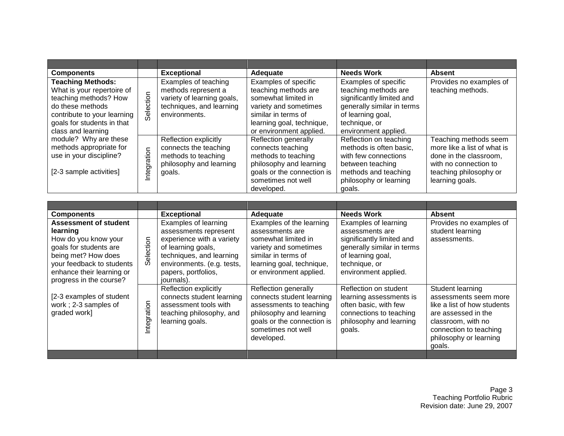| <b>Components</b>                                                                                                                                                                                   |            | <b>Exceptional</b>                                                                                                     | Adequate                                                                                                                                                                    | <b>Needs Work</b>                                                                                                                                                     | <b>Absent</b>                                                                                                                                        |
|-----------------------------------------------------------------------------------------------------------------------------------------------------------------------------------------------------|------------|------------------------------------------------------------------------------------------------------------------------|-----------------------------------------------------------------------------------------------------------------------------------------------------------------------------|-----------------------------------------------------------------------------------------------------------------------------------------------------------------------|------------------------------------------------------------------------------------------------------------------------------------------------------|
| <b>Teaching Methods:</b><br>What is your repertoire of<br>Selection<br>teaching methods? How<br>do these methods<br>contribute to your learning<br>goals for students in that<br>class and learning |            | Examples of teaching<br>methods represent a<br>variety of learning goals,<br>techniques, and learning<br>environments. | Examples of specific<br>teaching methods are<br>somewhat limited in<br>variety and sometimes<br>similar in terms of<br>learning goal, technique,<br>or environment applied. | Examples of specific<br>teaching methods are<br>significantly limited and<br>generally similar in terms<br>of learning goal,<br>technique, or<br>environment applied. | Provides no examples of<br>teaching methods.                                                                                                         |
| module? Why are these<br>methods appropriate for<br>use in your discipline?<br>[2-3 sample activities]                                                                                              | ntegration | Reflection explicitly<br>connects the teaching<br>methods to teaching<br>philosophy and learning<br>goals.             | Reflection generally<br>connects teaching<br>methods to teaching<br>philosophy and learning<br>goals or the connection is<br>sometimes not well<br>developed.               | Reflection on teaching<br>methods is often basic.<br>with few connections<br>between teaching<br>methods and teaching<br>philosophy or learning<br>goals.             | Teaching methods seem<br>more like a list of what is<br>done in the classroom,<br>with no connection to<br>teaching philosophy or<br>learning goals. |

| <b>Components</b>                                                                                                                                                           |            | <b>Exceptional</b>                                                                                                                                                                | Adequate                                                                                                                                                                   | <b>Needs Work</b>                                                                                                                                                | <b>Absent</b>                                                                                                                                                                       |
|-----------------------------------------------------------------------------------------------------------------------------------------------------------------------------|------------|-----------------------------------------------------------------------------------------------------------------------------------------------------------------------------------|----------------------------------------------------------------------------------------------------------------------------------------------------------------------------|------------------------------------------------------------------------------------------------------------------------------------------------------------------|-------------------------------------------------------------------------------------------------------------------------------------------------------------------------------------|
| <b>Assessment of student</b><br>learning<br>How do you know your<br>goals for students are<br>being met? How does<br>your feedback to students<br>enhance their learning or | Selection  | Examples of learning<br>assessments represent<br>experience with a variety<br>of learning goals,<br>techniques, and learning<br>environments. (e.g. tests,<br>papers, portfolios, | Examples of the learning<br>assessments are<br>somewhat limited in<br>variety and sometimes<br>similar in terms of<br>learning goal, technique,<br>or environment applied. | Examples of learning<br>assessments are<br>significantly limited and<br>generally similar in terms<br>of learning goal,<br>technique, or<br>environment applied. | Provides no examples of<br>student learning<br>assessments.                                                                                                                         |
| progress in the course?<br>[2-3 examples of student<br>work; 2-3 samples of<br>graded work]                                                                                 | ntegration | journals).<br>Reflection explicitly<br>connects student learning<br>assessment tools with<br>teaching philosophy, and<br>learning goals.                                          | Reflection generally<br>connects student learning<br>assessments to teaching<br>philosophy and learning<br>goals or the connection is<br>sometimes not well<br>developed.  | Reflection on student<br>learning assessments is<br>often basic, with few<br>connections to teaching<br>philosophy and learning<br>goals.                        | Student learning<br>assessments seem more<br>like a list of how students<br>are assessed in the<br>classroom, with no<br>connection to teaching<br>philosophy or learning<br>goals. |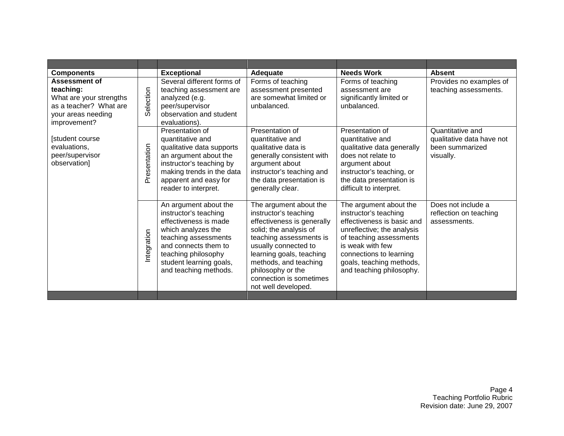|              | <b>Exceptional</b>                                                                                                                                                                                                       | Adequate                                                                                                                                                                                                                                                                               | <b>Needs Work</b>                                                                                                                                                                                                                             | <b>Absent</b>                                                                 |
|--------------|--------------------------------------------------------------------------------------------------------------------------------------------------------------------------------------------------------------------------|----------------------------------------------------------------------------------------------------------------------------------------------------------------------------------------------------------------------------------------------------------------------------------------|-----------------------------------------------------------------------------------------------------------------------------------------------------------------------------------------------------------------------------------------------|-------------------------------------------------------------------------------|
| Selection    | Several different forms of<br>teaching assessment are<br>analyzed (e.g.<br>peer/supervisor<br>observation and student<br>evaluations).                                                                                   | Forms of teaching<br>assessment presented<br>are somewhat limited or<br>unbalanced.                                                                                                                                                                                                    | Forms of teaching<br>assessment are<br>significantly limited or<br>unbalanced.                                                                                                                                                                | Provides no examples of<br>teaching assessments.                              |
| Presentation | Presentation of<br>quantitative and<br>qualitative data supports<br>an argument about the<br>instructor's teaching by<br>making trends in the data<br>apparent and easy for<br>reader to interpret.                      | Presentation of<br>quantitative and<br>qualitative data is<br>generally consistent with<br>argument about<br>instructor's teaching and<br>the data presentation is<br>generally clear.                                                                                                 | Presentation of<br>quantitative and<br>qualitative data generally<br>does not relate to<br>argument about<br>instructor's teaching, or<br>the data presentation is<br>difficult to interpret.                                                 | Quantitative and<br>qualitative data have not<br>been summarized<br>visually. |
| Integration  | An argument about the<br>instructor's teaching<br>effectiveness is made<br>which analyzes the<br>teaching assessments<br>and connects them to<br>teaching philosophy<br>student learning goals,<br>and teaching methods. | The argument about the<br>instructor's teaching<br>effectiveness is generally<br>solid; the analysis of<br>teaching assessments is<br>usually connected to<br>learning goals, teaching<br>methods, and teaching<br>philosophy or the<br>connection is sometimes<br>not well developed. | The argument about the<br>instructor's teaching<br>effectiveness is basic and<br>unreflective; the analysis<br>of teaching assessments<br>is weak with few<br>connections to learning<br>goals, teaching methods,<br>and teaching philosophy. | Does not include a<br>reflection on teaching<br>assessments.                  |
|              |                                                                                                                                                                                                                          |                                                                                                                                                                                                                                                                                        |                                                                                                                                                                                                                                               |                                                                               |